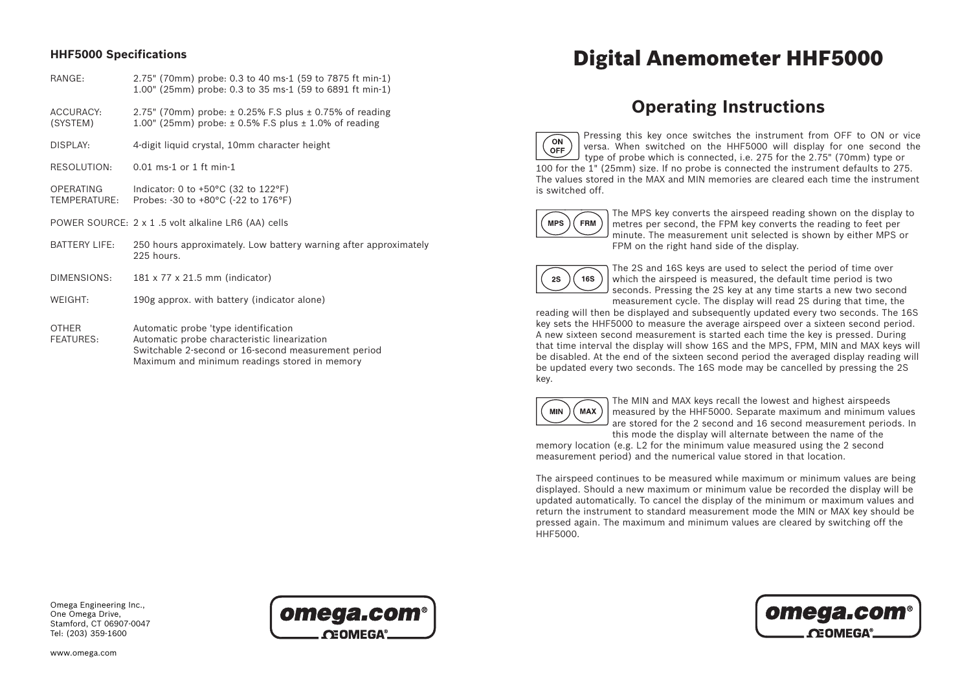# **HHF5000 Specifications**

- RANGE: 2.75" (70mm) probe: 0.3 to 40 ms-1 (59 to 7875 ft min-1) 1.00" (25mm) probe: 0.3 to 35 ms-1 (59 to 6891 ft min-1)
- ACCURACY:  $2.75$ " (70mm) probe:  $\pm$  0.25% F.S plus  $\pm$  0.75% of reading  $(SYSTEM)$  1.00" (25mm) probe:  $\pm$  0.5% F.S plus  $\pm$  1.0% of reading
- DISPLAY: 4-digit liquid crystal, 10mm character height
- RESOLUTION: 0.01 ms-1 or 1 ft min-1
- OPERATING Indicator: 0 to +50°C (32 to 122°F) TEMPERATURE: Probes: -30 to +80°C (-22 to 176°F)
- POWER SOURCE: 2 x 1 .5 volt alkaline LR6 (AA) cells
- BATTERY LIFE: 250 hours approximately. Low battery warning after approximately 225 hours.
- DIMENSIONS: 181 x 77 x 21.5 mm (indicator)
- WEIGHT: 190g approx. with battery (indicator alone)
- OTHER Automatic probe 'type identification FEATURES: Automatic probe characteristic linearization Switchable 2-second or 16-second measurement period Maximum and minimum readings stored in memory

# Digital Anemometer HHF5000

# **Operating Instructions**

Pressing this key once switches the instrument from OFF to ON or vice  $\infty$ versa. When switched on the HHF5000 will display for one second the OFF type of probe which is connected, i.e. 275 for the 2.75" (70mm) type or 100 for the 1" (25mm) size. If no probe is connected the instrument defaults to 275. The values stored in the MAX and MIN memories are cleared each time the instrument is switched off.



The MPS key converts the airspeed reading shown on the display to metres per second, the FPM key converts the reading to feet per minute. The measurement unit selected is shown by either MPS or FPM on the right hand side of the display.



The 2S and 16S keys are used to select the period of time over which the airspeed is measured, the default time period is two seconds. Pressing the 2S key at any time starts a new two second measurement cycle. The display will read 2S during that time, the

reading will then be displayed and subsequently updated every two seconds. The 16S key sets the HHF5000 to measure the average airspeed over a sixteen second period. A new sixteen second measurement is started each time the key is pressed. During that time interval the display will show 16S and the MPS, FPM, MIN and MAX keys will be disabled. At the end of the sixteen second period the averaged display reading will be updated every two seconds. The 16S mode may be cancelled by pressing the 2S key.



The MIN and MAX keys recall the lowest and highest airspeeds measured by the HHF5000. Separate maximum and minimum values are stored for the 2 second and 16 second measurement periods. In this mode the display will alternate between the name of the

memory location (e.g. L2 for the minimum value measured using the 2 second measurement period) and the numerical value stored in that location.

The airspeed continues to be measured while maximum or minimum values are being displayed. Should a new maximum or minimum value be recorded the display will be updated automatically. To cancel the display of the minimum or maximum values and return the instrument to standard measurement mode the MIN or MAX key should be pressed again. The maximum and minimum values are cleared by switching off the HHF5000.

Omega Engineering Inc., One Omega Drive, Stamford, CT 06907-0047 Tel: (203) 359-1600